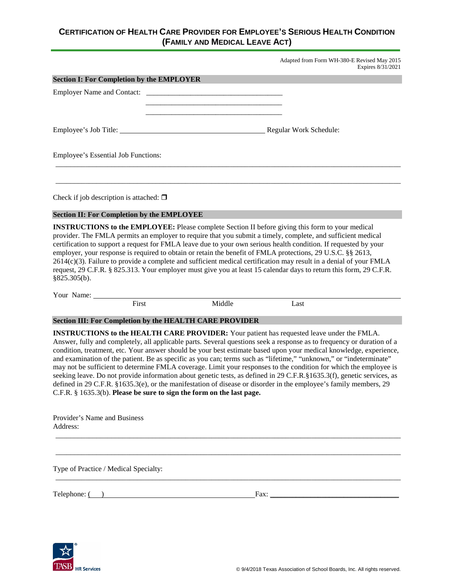# **CERTIFICATION OF HEALTH CARE PROVIDER FOR EMPLOYEE'S SERIOUS HEALTH CONDITION (FAMILY AND MEDICAL LEAVE ACT)**

Adapted from Form WH-380-E Revised May 2015 Expires 8/31/2021

| <b>Section I: For Completion by the EMPLOYER</b>  |                                                                                                                                                                                                                                                                                                                                                                                                                                                            |  |
|---------------------------------------------------|------------------------------------------------------------------------------------------------------------------------------------------------------------------------------------------------------------------------------------------------------------------------------------------------------------------------------------------------------------------------------------------------------------------------------------------------------------|--|
|                                                   |                                                                                                                                                                                                                                                                                                                                                                                                                                                            |  |
|                                                   | <u> 1980 - Johann Barbara, martin da basar da shekarar 1980 - An tsa a shekarar 1980 - An tsa a shekarar 1980 - A</u>                                                                                                                                                                                                                                                                                                                                      |  |
|                                                   |                                                                                                                                                                                                                                                                                                                                                                                                                                                            |  |
|                                                   |                                                                                                                                                                                                                                                                                                                                                                                                                                                            |  |
| Employee's Essential Job Functions:               |                                                                                                                                                                                                                                                                                                                                                                                                                                                            |  |
|                                                   |                                                                                                                                                                                                                                                                                                                                                                                                                                                            |  |
| Check if job description is attached: $\Box$      |                                                                                                                                                                                                                                                                                                                                                                                                                                                            |  |
| <b>Section II: For Completion by the EMPLOYEE</b> |                                                                                                                                                                                                                                                                                                                                                                                                                                                            |  |
|                                                   | <b>INSTRUCTIONS to the EMPLOYEE:</b> Please complete Section II before giving this form to your medical<br>provider. The FMLA permits an employer to require that you submit a timely, complete, and sufficient medical<br>certification to support a request for FMLA leave due to your own serious health condition. If requested by your<br>employer, your response is required to obtain or retain the benefit of FMLA protections, 29 U.S.C. §§ 2613, |  |
|                                                   | $2614(c)(3)$ . Failure to provide a complete and sufficient medical certification may result in a denial of your FMLA<br>request, 29 C.F.R. § 825.313. Your employer must give you at least 15 calendar days to return this form, 29 C.F.R.                                                                                                                                                                                                                |  |

§825.305(b).

Your Name: First Middle Last

### **Section III: For Completion by the HEALTH CARE PROVIDER**

**INSTRUCTIONS to the HEALTH CARE PROVIDER:** Your patient has requested leave under the FMLA. Answer, fully and completely, all applicable parts. Several questions seek a response as to frequency or duration of a condition, treatment, etc. Your answer should be your best estimate based upon your medical knowledge, experience, and examination of the patient. Be as specific as you can; terms such as "lifetime," "unknown," or "indeterminate" may not be sufficient to determine FMLA coverage. Limit your responses to the condition for which the employee is seeking leave. Do not provide information about genetic tests, as defined in 29 C.F.R.§1635.3(f), genetic services, as defined in 29 C.F.R. §1635.3(e), or the manifestation of disease or disorder in the employee's family members, 29 C.F.R. § 1635.3(b). **Please be sure to sign the form on the last page.**

\_\_\_\_\_\_\_\_\_\_\_\_\_\_\_\_\_\_\_\_\_\_\_\_\_\_\_\_\_\_\_\_\_\_\_\_\_\_\_\_\_\_\_\_\_\_\_\_\_\_\_\_\_\_\_\_\_\_\_\_\_\_\_\_\_\_\_\_\_\_\_\_\_\_\_\_\_\_\_\_\_\_\_\_\_\_\_\_\_\_\_\_\_

\_\_\_\_\_\_\_\_\_\_\_\_\_\_\_\_\_\_\_\_\_\_\_\_\_\_\_\_\_\_\_\_\_\_\_\_\_\_\_\_\_\_\_\_\_\_\_\_\_\_\_\_\_\_\_\_\_\_\_\_\_\_\_\_\_\_\_\_\_\_\_\_\_\_\_\_\_\_\_\_\_\_\_\_\_\_\_\_\_\_\_\_\_

\_\_\_\_\_\_\_\_\_\_\_\_\_\_\_\_\_\_\_\_\_\_\_\_\_\_\_\_\_\_\_\_\_\_\_\_\_\_\_\_\_\_\_\_\_\_\_\_\_\_\_\_\_\_\_\_\_\_\_\_\_\_\_\_\_\_\_\_\_\_\_\_\_\_\_\_\_\_\_\_\_\_\_\_\_\_\_\_\_\_\_\_\_

| Provider's Name and Business |  |
|------------------------------|--|
| Address:                     |  |

Type of Practice / Medical Specialty:

Telephone: ( ) Fax: \_\_\_\_\_\_\_\_\_\_\_\_\_\_\_\_\_\_\_\_\_\_\_\_\_\_\_\_\_\_\_\_\_\_\_

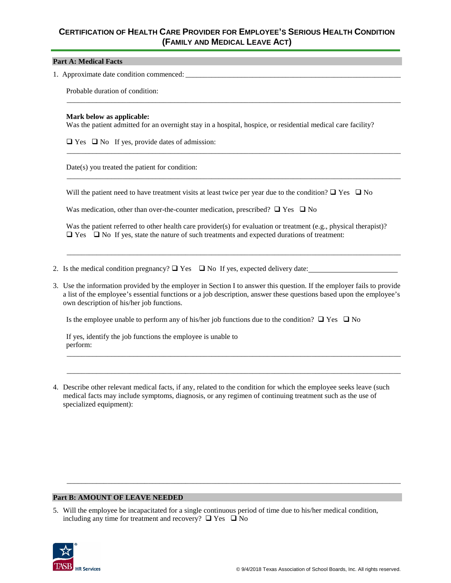# **CERTIFICATION OF HEALTH CARE PROVIDER FOR EMPLOYEE'S SERIOUS HEALTH CONDITION (FAMILY AND MEDICAL LEAVE ACT)**

#### **Part A: Medical Facts**

1. Approximate date condition commenced:

Probable duration of condition:

#### **Mark below as applicable:**

Was the patient admitted for an overnight stay in a hospital, hospice, or residential medical care facility?

\_\_\_\_\_\_\_\_\_\_\_\_\_\_\_\_\_\_\_\_\_\_\_\_\_\_\_\_\_\_\_\_\_\_\_\_\_\_\_\_\_\_\_\_\_\_\_\_\_\_\_\_\_\_\_\_\_\_\_\_\_\_\_\_\_\_\_\_\_\_\_\_\_\_\_\_\_\_\_\_\_\_\_\_\_\_\_\_\_\_

\_\_\_\_\_\_\_\_\_\_\_\_\_\_\_\_\_\_\_\_\_\_\_\_\_\_\_\_\_\_\_\_\_\_\_\_\_\_\_\_\_\_\_\_\_\_\_\_\_\_\_\_\_\_\_\_\_\_\_\_\_\_\_\_\_\_\_\_\_\_\_\_\_\_\_\_\_\_\_\_\_\_\_\_\_\_\_\_\_\_

\_\_\_\_\_\_\_\_\_\_\_\_\_\_\_\_\_\_\_\_\_\_\_\_\_\_\_\_\_\_\_\_\_\_\_\_\_\_\_\_\_\_\_\_\_\_\_\_\_\_\_\_\_\_\_\_\_\_\_\_\_\_\_\_\_\_\_\_\_\_\_\_\_\_\_\_\_\_\_\_\_\_\_\_\_\_\_\_\_\_

 $\Box$  Yes  $\Box$  No If yes, provide dates of admission:

Date(s) you treated the patient for condition:

Will the patient need to have treatment visits at least twice per year due to the condition?  $\Box$  Yes  $\Box$  No

Was medication, other than over-the-counter medication, prescribed?  $\Box$  Yes  $\Box$  No

Was the patient referred to other health care provider(s) for evaluation or treatment (e.g., physical therapist)?  $\Box$  Yes  $\Box$  No If yes, state the nature of such treatments and expected durations of treatment:

\_\_\_\_\_\_\_\_\_\_\_\_\_\_\_\_\_\_\_\_\_\_\_\_\_\_\_\_\_\_\_\_\_\_\_\_\_\_\_\_\_\_\_\_\_\_\_\_\_\_\_\_\_\_\_\_\_\_\_\_\_\_\_\_\_\_\_\_\_\_\_\_\_\_\_\_\_\_\_\_\_\_\_\_\_\_\_\_\_\_

- 2. Is the medical condition pregnancy?  $\Box$  Yes  $\Box$  No If yes, expected delivery date:
- 3. Use the information provided by the employer in Section I to answer this question. If the employer fails to provide a list of the employee's essential functions or a job description, answer these questions based upon the employee's own description of his/her job functions.

\_\_\_\_\_\_\_\_\_\_\_\_\_\_\_\_\_\_\_\_\_\_\_\_\_\_\_\_\_\_\_\_\_\_\_\_\_\_\_\_\_\_\_\_\_\_\_\_\_\_\_\_\_\_\_\_\_\_\_\_\_\_\_\_\_\_\_\_\_\_\_\_\_\_\_\_\_\_\_\_\_\_\_\_\_\_\_\_\_\_

\_\_\_\_\_\_\_\_\_\_\_\_\_\_\_\_\_\_\_\_\_\_\_\_\_\_\_\_\_\_\_\_\_\_\_\_\_\_\_\_\_\_\_\_\_\_\_\_\_\_\_\_\_\_\_\_\_\_\_\_\_\_\_\_\_\_\_\_\_\_\_\_\_\_\_\_\_\_\_\_\_\_\_\_\_\_\_\_\_\_

\_\_\_\_\_\_\_\_\_\_\_\_\_\_\_\_\_\_\_\_\_\_\_\_\_\_\_\_\_\_\_\_\_\_\_\_\_\_\_\_\_\_\_\_\_\_\_\_\_\_\_\_\_\_\_\_\_\_\_\_\_\_\_\_\_\_\_\_\_\_\_\_\_\_\_\_\_\_\_\_\_\_\_\_\_\_\_\_\_\_

Is the employee unable to perform any of his/her job functions due to the condition?  $\Box$  Yes  $\Box$  No

If yes, identify the job functions the employee is unable to perform:

4. Describe other relevant medical facts, if any, related to the condition for which the employee seeks leave (such medical facts may include symptoms, diagnosis, or any regimen of continuing treatment such as the use of specialized equipment):

#### **Part B: AMOUNT OF LEAVE NEEDED**

5. Will the employee be incapacitated for a single continuous period of time due to his/her medical condition, including any time for treatment and recovery?  $\Box$  Yes  $\Box$  No

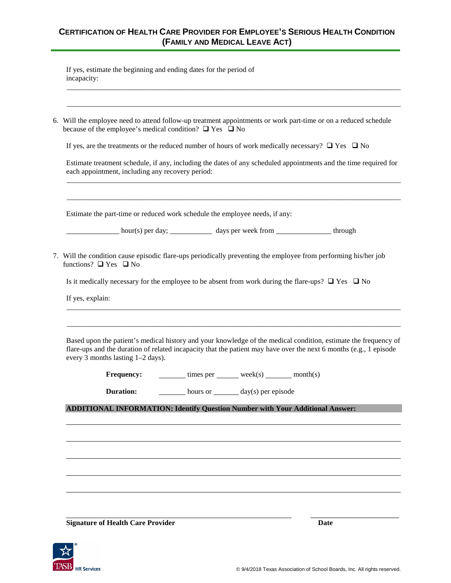# **CERTIFICATION OF HEALTH CARE PROVIDER FOR EMPLOYEE'S SERIOUS HEALTH CONDITION (FAMILY AND MEDICAL LEAVE ACT)**

\_\_\_\_\_\_\_\_\_\_\_\_\_\_\_\_\_\_\_\_\_\_\_\_\_\_\_\_\_\_\_\_\_\_\_\_\_\_\_\_\_\_\_\_\_\_\_\_\_\_\_\_\_\_\_\_\_\_\_\_\_\_\_\_\_\_\_\_\_\_\_\_\_\_\_\_\_\_\_\_\_\_\_\_\_\_\_\_\_\_

\_\_\_\_\_\_\_\_\_\_\_\_\_\_\_\_\_\_\_\_\_\_\_\_\_\_\_\_\_\_\_\_\_\_\_\_\_\_\_\_\_\_\_\_\_\_\_\_\_\_\_\_\_\_\_\_\_\_\_\_\_\_\_\_\_\_\_\_\_\_\_\_\_\_\_\_\_\_\_\_\_\_\_\_\_\_\_\_\_\_

If yes, estimate the beginning and ending dates for the period of incapacity:

| 6. Will the employee need to attend follow-up treatment appointments or work part-time or on a reduced schedule |
|-----------------------------------------------------------------------------------------------------------------|
| because of the employee's medical condition? $\Box$ Yes $\Box$ No                                               |

If yes, are the treatments or the reduced number of hours of work medically necessary?  $\Box$  Yes  $\Box$  No

Estimate treatment schedule, if any, including the dates of any scheduled appointments and the time required for each appointment, including any recovery period: \_\_\_\_\_\_\_\_\_\_\_\_\_\_\_\_\_\_\_\_\_\_\_\_\_\_\_\_\_\_\_\_\_\_\_\_\_\_\_\_\_\_\_\_\_\_\_\_\_\_\_\_\_\_\_\_\_\_\_\_\_\_\_\_\_\_\_\_\_\_\_\_\_\_\_\_\_\_\_\_\_\_\_\_\_\_\_\_\_\_

\_\_\_\_\_\_\_\_\_\_\_\_\_\_\_\_\_\_\_\_\_\_\_\_\_\_\_\_\_\_\_\_\_\_\_\_\_\_\_\_\_\_\_\_\_\_\_\_\_\_\_\_\_\_\_\_\_\_\_\_\_\_\_\_\_\_\_\_\_\_\_\_\_\_\_\_\_\_\_\_\_\_\_\_\_\_\_\_\_\_

Estimate the part-time or reduced work schedule the employee needs, if any:

hour(s) per day; days per week from through

7. Will the condition cause episodic flare-ups periodically preventing the employee from performing his/her job functions?  $\Box$  Yes  $\Box$  No

Is it medically necessary for the employee to be absent from work during the flare-ups?  $\Box$  Yes  $\Box$  No

If yes, explain:

Based upon the patient's medical history and your knowledge of the medical condition, estimate the frequency of flare-ups and the duration of related incapacity that the patient may have over the next 6 months (e.g., 1 episode every 3 months lasting 1–2 days).

\_\_\_\_\_\_\_\_\_\_\_\_\_\_\_\_\_\_\_\_\_\_\_\_\_\_\_\_\_\_\_\_\_\_\_\_\_\_\_\_\_\_\_\_\_\_\_\_\_\_\_\_\_\_\_\_\_\_\_\_\_\_\_\_\_\_\_\_\_\_\_\_\_\_\_\_\_\_\_\_\_\_\_\_\_\_\_\_\_\_

\_\_\_\_\_\_\_\_\_\_\_\_\_\_\_\_\_\_\_\_\_\_\_\_\_\_\_\_\_\_\_\_\_\_\_\_\_\_\_\_\_\_\_\_\_\_\_\_\_\_\_\_\_\_\_\_\_\_\_\_\_\_\_\_\_\_\_\_\_\_\_\_\_\_\_\_\_\_\_\_\_\_\_\_\_\_\_\_\_\_

| <b>Frequency:</b> | times per | week(s) | month(s) |
|-------------------|-----------|---------|----------|
|-------------------|-----------|---------|----------|

| <b>Duration:</b> | hours or |  | $day(s)$ per episode |
|------------------|----------|--|----------------------|
|------------------|----------|--|----------------------|

**ADDITIONAL INFORMATION: Identify Question Number with Your Additional Answer:**

**Signature of Health Care Provider Date**

\_\_\_\_\_\_\_\_\_\_\_\_\_\_\_\_\_\_\_\_